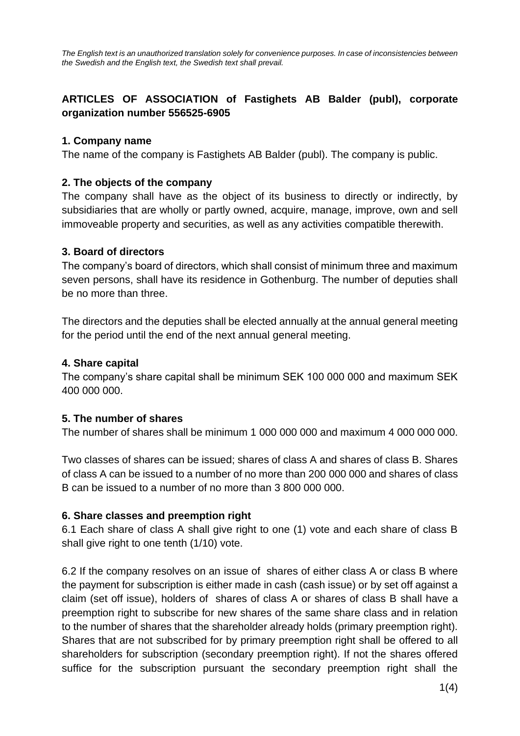# **ARTICLES OF ASSOCIATION of Fastighets AB Balder (publ), corporate organization number 556525-6905**

### **1. Company name**

The name of the company is Fastighets AB Balder (publ). The company is public.

## **2. The objects of the company**

The company shall have as the object of its business to directly or indirectly, by subsidiaries that are wholly or partly owned, acquire, manage, improve, own and sell immoveable property and securities, as well as any activities compatible therewith.

## **3. Board of directors**

The company's board of directors, which shall consist of minimum three and maximum seven persons, shall have its residence in Gothenburg. The number of deputies shall be no more than three.

The directors and the deputies shall be elected annually at the annual general meeting for the period until the end of the next annual general meeting.

## **4. Share capital**

The company's share capital shall be minimum SEK 100 000 000 and maximum SEK 400 000 000.

### **5. The number of shares**

The number of shares shall be minimum 1 000 000 000 and maximum 4 000 000 000.

Two classes of shares can be issued; shares of class A and shares of class B. Shares of class A can be issued to a number of no more than 200 000 000 and shares of class B can be issued to a number of no more than 3 800 000 000.

### **6. Share classes and preemption right**

6.1 Each share of class A shall give right to one (1) vote and each share of class B shall give right to one tenth (1/10) vote.

6.2 If the company resolves on an issue of shares of either class A or class B where the payment for subscription is either made in cash (cash issue) or by set off against a claim (set off issue), holders of shares of class A or shares of class B shall have a preemption right to subscribe for new shares of the same share class and in relation to the number of shares that the shareholder already holds (primary preemption right). Shares that are not subscribed for by primary preemption right shall be offered to all shareholders for subscription (secondary preemption right). If not the shares offered suffice for the subscription pursuant the secondary preemption right shall the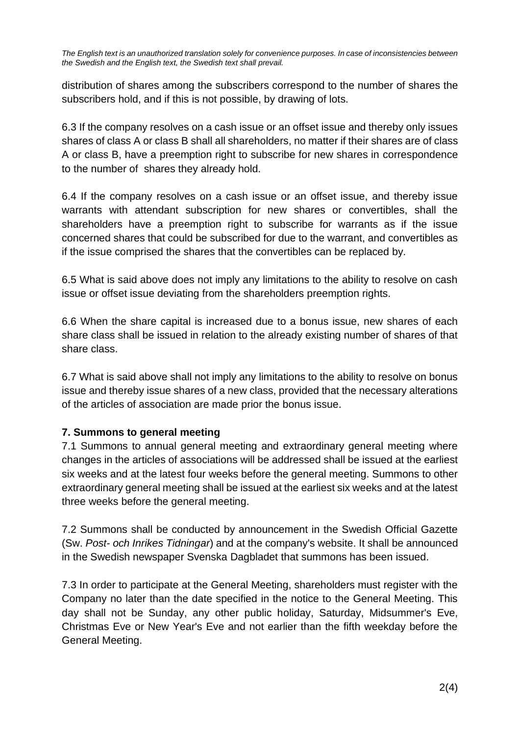distribution of shares among the subscribers correspond to the number of shares the subscribers hold, and if this is not possible, by drawing of lots.

6.3 If the company resolves on a cash issue or an offset issue and thereby only issues shares of class A or class B shall all shareholders, no matter if their shares are of class A or class B, have a preemption right to subscribe for new shares in correspondence to the number of shares they already hold.

6.4 If the company resolves on a cash issue or an offset issue, and thereby issue warrants with attendant subscription for new shares or convertibles, shall the shareholders have a preemption right to subscribe for warrants as if the issue concerned shares that could be subscribed for due to the warrant, and convertibles as if the issue comprised the shares that the convertibles can be replaced by.

6.5 What is said above does not imply any limitations to the ability to resolve on cash issue or offset issue deviating from the shareholders preemption rights.

6.6 When the share capital is increased due to a bonus issue, new shares of each share class shall be issued in relation to the already existing number of shares of that share class.

6.7 What is said above shall not imply any limitations to the ability to resolve on bonus issue and thereby issue shares of a new class, provided that the necessary alterations of the articles of association are made prior the bonus issue.

# **7. Summons to general meeting**

7.1 Summons to annual general meeting and extraordinary general meeting where changes in the articles of associations will be addressed shall be issued at the earliest six weeks and at the latest four weeks before the general meeting. Summons to other extraordinary general meeting shall be issued at the earliest six weeks and at the latest three weeks before the general meeting.

7.2 Summons shall be conducted by announcement in the Swedish Official Gazette (Sw. *Post- och Inrikes Tidningar*) and at the company's website. It shall be announced in the Swedish newspaper Svenska Dagbladet that summons has been issued.

7.3 In order to participate at the General Meeting, shareholders must register with the Company no later than the date specified in the notice to the General Meeting. This day shall not be Sunday, any other public holiday, Saturday, Midsummer's Eve, Christmas Eve or New Year's Eve and not earlier than the fifth weekday before the General Meeting.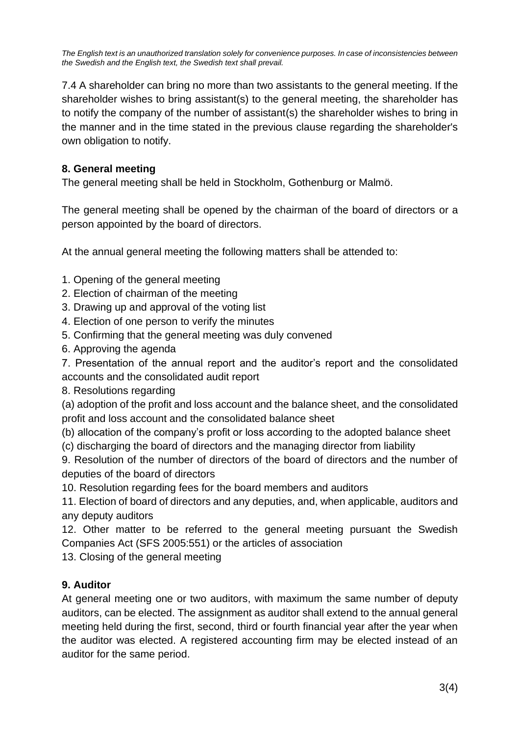7.4 A shareholder can bring no more than two assistants to the general meeting. If the shareholder wishes to bring assistant(s) to the general meeting, the shareholder has to notify the company of the number of assistant(s) the shareholder wishes to bring in the manner and in the time stated in the previous clause regarding the shareholder's own obligation to notify.

# **8. General meeting**

The general meeting shall be held in Stockholm, Gothenburg or Malmö.

The general meeting shall be opened by the chairman of the board of directors or a person appointed by the board of directors.

At the annual general meeting the following matters shall be attended to:

- 1. Opening of the general meeting
- 2. Election of chairman of the meeting
- 3. Drawing up and approval of the voting list
- 4. Election of one person to verify the minutes
- 5. Confirming that the general meeting was duly convened
- 6. Approving the agenda

7. Presentation of the annual report and the auditor's report and the consolidated accounts and the consolidated audit report

8. Resolutions regarding

(a) adoption of the profit and loss account and the balance sheet, and the consolidated profit and loss account and the consolidated balance sheet

(b) allocation of the company's profit or loss according to the adopted balance sheet

(c) discharging the board of directors and the managing director from liability

9. Resolution of the number of directors of the board of directors and the number of deputies of the board of directors

10. Resolution regarding fees for the board members and auditors

11. Election of board of directors and any deputies, and, when applicable, auditors and any deputy auditors

12. Other matter to be referred to the general meeting pursuant the Swedish Companies Act (SFS 2005:551) or the articles of association

13. Closing of the general meeting

# **9. Auditor**

At general meeting one or two auditors, with maximum the same number of deputy auditors, can be elected. The assignment as auditor shall extend to the annual general meeting held during the first, second, third or fourth financial year after the year when the auditor was elected. A registered accounting firm may be elected instead of an auditor for the same period.